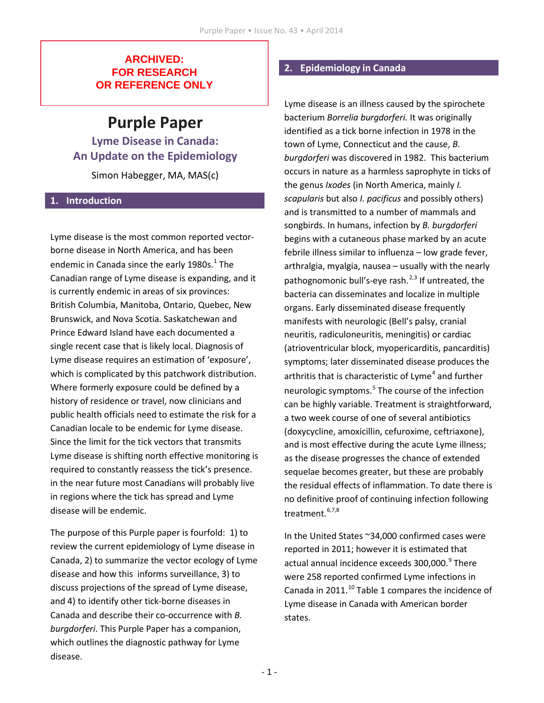### **ARCHIVED: FOR RESEARCH OR REFERENCE ONLY**

# **Purple Paper**

**Lyme Disease in Canada: An Update on the Epidemiology**

Simon Habegger, MA, MAS(c)

#### **1. Introduction**

Lyme disease is the most common reported vectorborne disease in North America, and has been endemic in Canada since the early 1980s.<sup>1</sup> The Canadian range of Lyme disease is expanding, and it is currently endemic in areas of six provinces: British Columbia, Manitoba, Ontario, Quebec, New Brunswick, and Nova Scotia. Saskatchewan and Prince Edward Island have each documented a single recent case that is likely local. Diagnosis of Lyme disease requires an estimation of 'exposure', which is complicated by this patchwork distribution. Where formerly exposure could be defined by a history of residence or travel, now clinicians and public health officials need to estimate the risk for a Canadian locale to be endemic for Lyme disease. Since the limit for the tick vectors that transmits Lyme disease is shifting north effective monitoring is required to constantly reassess the tick's presence. in the near future most Canadians will probably live in regions where the tick has spread and Lyme disease will be endemic.

The purpose of this Purple paper is fourfold: 1) to review the current epidemiology of Lyme disease in Canada, 2) to summarize the vector ecology of Lyme disease and how this informs surveillance, 3) to discuss projections of the spread of Lyme disease, and 4) to identify other tick-borne diseases in Canada and describe their co-occurrence with *B. burgdorferi*. This Purple Paper has a companion, which outlines the diagnostic pathway for Lyme disease.

## **2. Epidemiology in Canada**

Lyme disease is an illness caused by the spirochete bacterium *Borrelia burgdorferi.* It was originally identified as a tick borne infection in 1978 in the town of Lyme, Connecticut and the cause, *B. burgdorferi* was discovered in 1982. This bacterium occurs in nature as a harmless saprophyte in ticks of the genus *Ixodes* (in North America, mainly *I. scapularis* but also *I. pacificus* and possibly others) and is transmitted to a number of mammals and songbirds. In humans, infection by *B. burgdorferi*  begins with a cutaneous phase marked by an acute febrile illness similar to influenza – low grade fever, arthralgia, myalgia, nausea – usually with the nearly pathognomonic bull's-eye rash.<sup>2,3</sup> If untreated, the bacteria can disseminates and localize in multiple organs. Early disseminated disease frequently manifests with neurologic (Bell's palsy, cranial neuritis, radiculoneuritis, meningitis) or cardiac (atrioventricular block, myopericarditis, pancarditis) symptoms; later disseminated disease produces the arthritis that is characteristic of Lyme<sup>4</sup> and further neurologic symptoms. <sup>5</sup> The course of the infection can be highly variable. Treatment is straightforward, a two week course of one of several antibiotics (doxycycline, amoxicillin, cefuroxime, ceftriaxone), and is most effective during the acute Lyme illness; as the disease progresses the chance of extended sequelae becomes greater, but these are probably the residual effects of inflammation. To date there is no definitive proof of continuing infection following treatment. 6,7,8

In the United States ~34,000 confirmed cases were reported in 2011; however it is estimated that actual annual incidence exceeds 300,000.<sup>9</sup> There were 258 reported confirmed Lyme infections in Canada in 2011.<sup>10</sup> Table 1 compares the incidence of Lyme disease in Canada with American border states.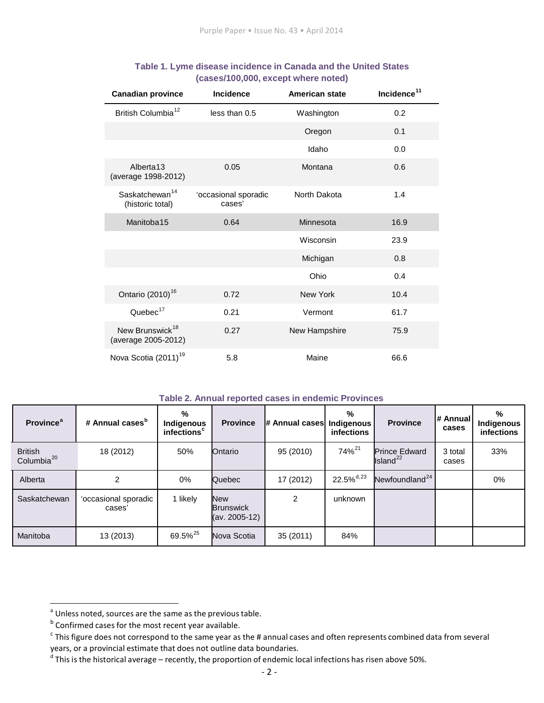| <b>Canadian province</b>                           | <b>Incidence</b>               | <b>American state</b> | Incidence <sup>11</sup> |  |
|----------------------------------------------------|--------------------------------|-----------------------|-------------------------|--|
| British Columbia <sup>12</sup>                     | less than 0.5                  | Washington            | 0.2                     |  |
|                                                    | Oregon                         |                       | 0.1                     |  |
|                                                    |                                | 0.0<br>Idaho          |                         |  |
| Alberta <sub>13</sub><br>(average 1998-2012)       | 0.05                           | Montana               | 0.6                     |  |
| Saskatchewan <sup>14</sup><br>(historic total)     | 'occasional sporadic<br>cases' | North Dakota          | 1.4                     |  |
| Manitoba15                                         | 0.64                           | Minnesota             | 16.9                    |  |
|                                                    |                                | Wisconsin             | 23.9                    |  |
|                                                    |                                | Michigan              | 0.8                     |  |
|                                                    |                                | Ohio                  | 0.4                     |  |
| Ontario (2010) <sup>16</sup>                       | 0.72                           | New York              | 10.4                    |  |
| Quebec $17$                                        | 0.21                           | Vermont               | 61.7                    |  |
| New Brunswick <sup>18</sup><br>(average 2005-2012) | 0.27                           | New Hampshire         | 75.9                    |  |
| Nova Scotia (2011) <sup>19</sup>                   | 5.8                            | Maine                 | 66.6                    |  |

#### **Table 1. Lyme disease incidence in Canada and the United States (cases/100,000, except where noted)**

#### **Table 2. Annual reported cases in endemic Provinces**

| <b>Province</b> <sup>a</sup>             | # Annual cases <sup>b</sup>    | %<br>Indigenous<br>infections <sup>c</sup> | <b>Province</b>                                 | # Annual cases   Indigenous | %<br>infections          | <b>Province</b>                              | # Annual<br>cases | %<br>Indigenous<br>infections |
|------------------------------------------|--------------------------------|--------------------------------------------|-------------------------------------------------|-----------------------------|--------------------------|----------------------------------------------|-------------------|-------------------------------|
| <b>British</b><br>Columbia <sup>20</sup> | 18 (2012)                      | 50%                                        | Ontario                                         | 95 (2010)                   | 74% <sup>21</sup>        | <b>Prince Edward</b><br>Island <sup>22</sup> | 3 total<br>cases  | 33%                           |
| Alberta                                  |                                | 0%                                         | Quebec                                          | 17 (2012)                   | $22.5\%$ <sup>d,23</sup> | Newfoundland <sup>24</sup>                   |                   | 0%                            |
| Saskatchewan                             | 'occasional sporadic<br>cases' | 1 likely                                   | <b>New</b><br><b>Brunswick</b><br>(av. 2005-12) | $\mathcal{P}$               | unknown                  |                                              |                   |                               |
| Manitoba                                 | 13 (2013)                      | 69.5% <sup>25</sup>                        | Nova Scotia                                     | 35 (2011)                   | 84%                      |                                              |                   |                               |

<sup>&</sup>lt;sup>a</sup> Unless noted, sources are the same as the previous table.

 $<sup>b</sup>$  Confirmed cases for the most recent year available.</sup>

 $c$  This figure does not correspond to the same year as the # annual cases and often represents combined data from several years, or a provincial estimate that does not outline data boundaries.

 $^{\text{d}}$  This is the historical average – recently, the proportion of endemic local infections has risen above 50%.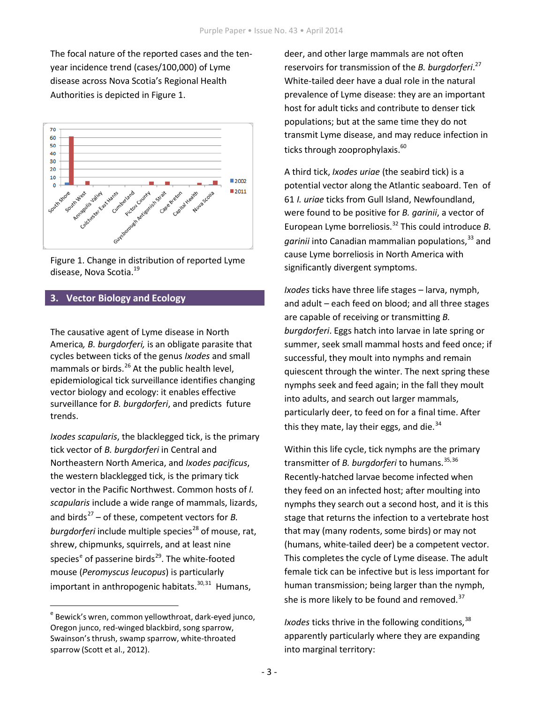The focal nature of the reported cases and the tenyear incidence trend (cases/100,000) of Lyme disease across Nova Scotia's Regional Health Authorities is depicted in Figure 1.





### **3. Vector Biology and Ecology**

The causative agent of Lyme disease in North America*, B. burgdorferi,* is an obligate parasite that cycles between ticks of the genus *Ixodes* and small mammals or birds.<sup>26</sup> At the public health level, epidemiological tick surveillance identifies changing vector biology and ecology: it enables effective surveillance for *B. burgdorferi*, and predicts future trends.

*Ixodes scapularis*, the blacklegged tick, is the primary tick vector of *B. burgdorferi* in Central and Northeastern North America, and *Ixodes pacificus*, the western blacklegged tick, is the primary tick vector in the Pacific Northwest. Common hosts of *I. scapularis* include a wide range of mammals, lizards, and birds <sup>27</sup> – of these, competent vectors for *B. burgdorferi* include multiple species <sup>28</sup> of mouse, rat, shrew, chipmunks, squirrels, and at least nine species<sup>e</sup> of passerine birds<sup>29</sup>. The white-footed mouse (*Peromyscus leucopus*) is particularly important in anthropogenic habitats.<sup>30,31</sup> Humans,

deer, and other large mammals are not often reservoirs for transmission of the *B. burgdorferi*. 27 White-tailed deer have a dual role in the natural prevalence of Lyme disease: they are an important host for adult ticks and contribute to denser tick populations; but at the same time they do not transmit Lyme disease, and may reduce infection in ticks through zooprophylaxis. 60

A third tick, *Ixodes uriae* (the seabird tick) is a potential vector along the Atlantic seaboard. Ten of 61 *I. uriae* ticks from Gull Island, Newfoundland, were found to be positive for *B. garinii*, a vector of European Lyme borreliosis. <sup>32</sup> This could introduce *B.*  garinii into Canadian mammalian populations,<sup>33</sup> and cause Lyme borreliosis in North America with significantly divergent symptoms.

*Ixodes* ticks have three life stages – larva, nymph, and adult – each feed on blood; and all three stages are capable of receiving or transmitting *B. burgdorferi*. Eggs hatch into larvae in late spring or summer, seek small mammal hosts and feed once; if successful, they moult into nymphs and remain quiescent through the winter. The next spring these nymphs seek and feed again; in the fall they moult into adults, and search out larger mammals, particularly deer, to feed on for a final time. After this they mate, lay their eggs, and die.<sup>34</sup>

Within this life cycle, tick nymphs are the primary transmitter of *B. burgdorferi* to humans. 35,36 Recently-hatched larvae become infected when they feed on an infected host; after moulting into nymphs they search out a second host, and it is this stage that returns the infection to a vertebrate host that may (many rodents, some birds) or may not (humans, white-tailed deer) be a competent vector. This completes the cycle of Lyme disease. The adult female tick can be infective but is less important for human transmission; being larger than the nymph, she is more likely to be found and removed.<sup>37</sup>

*Ixodes* ticks thrive in the following conditions, 38 apparently particularly where they are expanding into marginal territory:

<sup>&</sup>lt;sup>e</sup> Bewick's wren, common yellowthroat, dark-eyed junco, Oregon junco, red-winged blackbird, song sparrow, Swainson'sthrush, swamp sparrow, white-throated sparrow (Scott et al., 2012).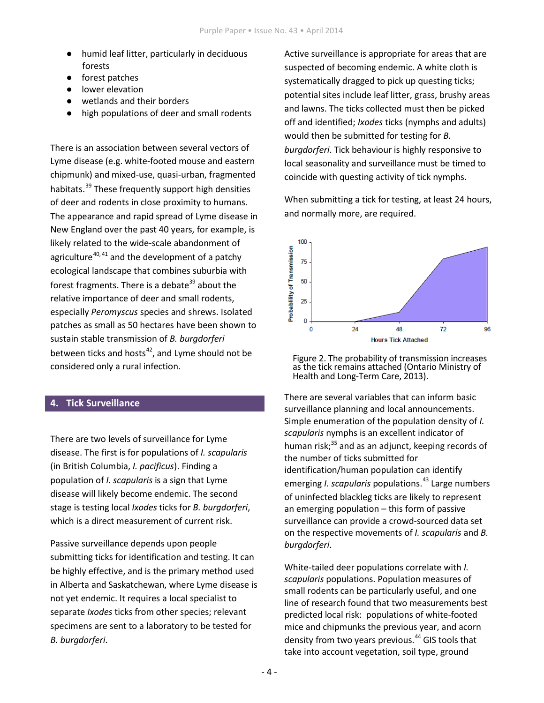- humid leaf litter, particularly in deciduous forests
- forest patches
- lower elevation
- wetlands and their borders
- high populations of deer and small rodents

There is an association between several vectors of Lyme disease (e.g. white-footed mouse and eastern chipmunk) and mixed-use, quasi-urban, fragmented habitats.<sup>39</sup> These frequently support high densities of deer and rodents in close proximity to humans. The appearance and rapid spread of Lyme disease in New England over the past 40 years, for example, is likely related to the wide-scale abandonment of agriculture<sup>40, 41</sup> and the development of a patchy ecological landscape that combines suburbia with forest fragments. There is a debate<sup>39</sup> about the relative importance of deer and small rodents, especially *Peromyscus* species and shrews. Isolated patches as small as 50 hectares have been shown to sustain stable transmission of *B. burgdorferi*  between ticks and hosts<sup>42</sup>, and Lyme should not be considered only a rural infection.

#### **4. Tick Surveillance**

There are two levels of surveillance for Lyme disease. The first is for populations of *I. scapularis*  (in British Columbia, *I. pacificus*). Finding a population of *I. scapularis* is a sign that Lyme disease will likely become endemic. The second stage is testing local *Ixodes* ticks for *B. burgdorferi*, which is a direct measurement of current risk.

Passive surveillance depends upon people submitting ticks for identification and testing. It can be highly effective, and is the primary method used in Alberta and Saskatchewan, where Lyme disease is not yet endemic. It requires a local specialist to separate *Ixodes* ticks from other species; relevant specimens are sent to a laboratory to be tested for *B. burgdorferi*.

Active surveillance is appropriate for areas that are suspected of becoming endemic. A white cloth is systematically dragged to pick up questing ticks; potential sites include leaf litter, grass, brushy areas and lawns. The ticks collected must then be picked off and identified; *Ixodes* ticks (nymphs and adults) would then be submitted for testing for *B. burgdorferi*. Tick behaviour is highly responsive to local seasonality and surveillance must be timed to coincide with questing activity of tick nymphs.

When submitting a tick for testing, at least 24 hours, and normally more, are required.



Figure 2. The probability of transmission increases as the tick remains attached (Ontario Ministry of Health and Long-Term Care, 2013).

There are several variables that can inform basic surveillance planning and local announcements. Simple enumeration of the population density of *I. scapularis* nymphs is an excellent indicator of human risk;<sup>35</sup> and as an adjunct, keeping records of the number of ticks submitted for identification/human population can identify emerging *I. scapularis* populations. <sup>43</sup> Large numbers of uninfected blackleg ticks are likely to represent an emerging population – this form of passive surveillance can provide a crowd-sourced data set on the respective movements of *I. scapularis* and *B. burgdorferi*.

White-tailed deer populations correlate with *I. scapularis* populations. Population measures of small rodents can be particularly useful, and one line of research found that two measurements best predicted local risk: populations of white-footed mice and chipmunks the previous year, and acorn density from two years previous. <sup>44</sup> GIS tools that take into account vegetation, soil type, ground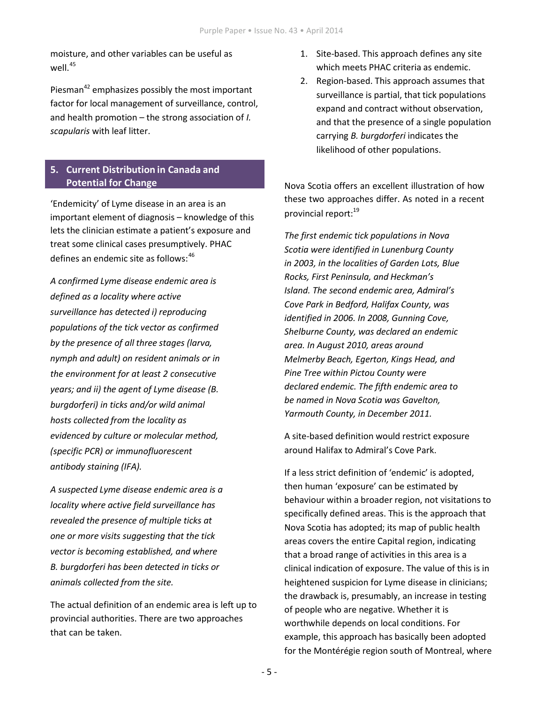moisture, and other variables can be useful as well. $^{45}$ 

Piesman<sup>42</sup> emphasizes possibly the most important factor for local management of surveillance, control, and health promotion – the strong association of *I. scapularis* with leaf litter.

### **5. Current Distribution in Canada and Potential for Change**

'Endemicity' of Lyme disease in an area is an important element of diagnosis – knowledge of this lets the clinician estimate a patient's exposure and treat some clinical cases presumptively. PHAC defines an endemic site as follows:<sup>46</sup>

*A confirmed Lyme disease endemic area is defined as a locality where active surveillance has detected i) reproducing populations of the tick vector as confirmed by the presence of all three stages (larva, nymph and adult) on resident animals or in the environment for at least 2 consecutive years; and ii) the agent of Lyme disease (B. burgdorferi) in ticks and/or wild animal hosts collected from the locality as evidenced by culture or molecular method, (specific PCR) or immunofluorescent antibody staining (IFA).*

*A suspected Lyme disease endemic area is a locality where active field surveillance has revealed the presence of multiple ticks at one or more visits suggesting that the tick vector is becoming established, and where B. burgdorferi has been detected in ticks or animals collected from the site.*

The actual definition of an endemic area is left up to provincial authorities. There are two approaches that can be taken.

- 1. Site-based. This approach defines any site which meets PHAC criteria as endemic.
- 2. Region-based. This approach assumes that surveillance is partial, that tick populations expand and contract without observation, and that the presence of a single population carrying *B. burgdorferi* indicates the likelihood of other populations.

Nova Scotia offers an excellent illustration of how these two approaches differ. As noted in a recent provincial report:<sup>19</sup>

*The first endemic tick populations in Nova Scotia were identified in Lunenburg County in 2003, in the localities of Garden Lots, Blue Rocks, First Peninsula, and Heckman's Island. The second endemic area, Admiral's Cove Park in Bedford, Halifax County, was identified in 2006. In 2008, Gunning Cove, Shelburne County, was declared an endemic area. In August 2010, areas around Melmerby Beach, Egerton, Kings Head, and Pine Tree within Pictou County were declared endemic. The fifth endemic area to be named in Nova Scotia was Gavelton, Yarmouth County, in December 2011.*

A site-based definition would restrict exposure around Halifax to Admiral's Cove Park.

If a less strict definition of 'endemic' is adopted, then human 'exposure' can be estimated by behaviour within a broader region, not visitations to specifically defined areas. This is the approach that Nova Scotia has adopted; its map of public health areas covers the entire Capital region, indicating that a broad range of activities in this area is a clinical indication of exposure. The value of this is in heightened suspicion for Lyme disease in clinicians; the drawback is, presumably, an increase in testing of people who are negative. Whether it is worthwhile depends on local conditions. For example, this approach has basically been adopted for the Montérégie region south of Montreal, where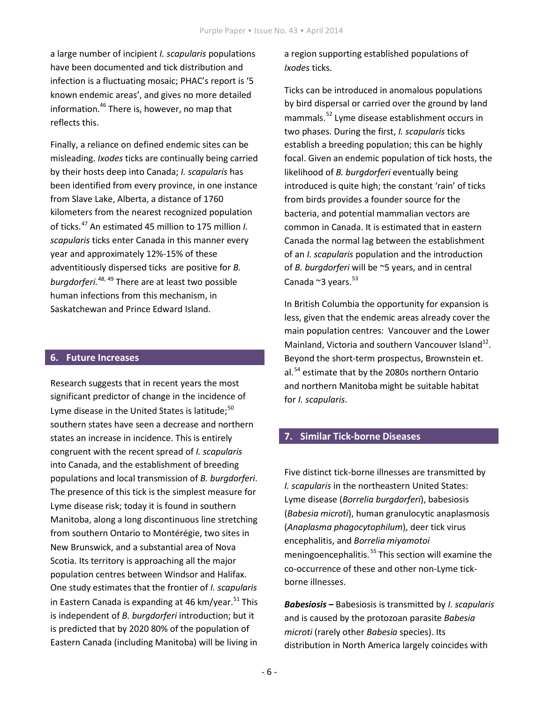a large number of incipient *I. scapularis* populations have been documented and tick distribution and infection is a fluctuating mosaic; PHAC's report is '5 known endemic areas', and gives no more detailed information. <sup>46</sup> There is, however, no map that mormalism there is, now ever, no map that mammals.<sup>52</sup> Lyme disease establishment occurs in reflects this.

Finally, a reliance on defined endemic sites can be misleading. *Ixodes* ticks are continually being carried by their hosts deep into Canada; *I. scapularis* has been identified from every province, in one instance from Slave Lake, Alberta, a distance of 1760 kilometers from the nearest recognized population of ticks. <sup>47</sup> An estimated 45 million to 175 million *I. scapularis* ticks enter Canada in this manner every year and approximately 12%-15% of these adventitiously dispersed ticks are positive for *B. burgdorferi.* 48, <sup>49</sup> There are at least two possible human infections from this mechanism, in Saskatchewan and Prince Edward Island.

### **6. Future Increases**

Research suggests that in recent years the most significant predictor of change in the incidence of Lyme disease in the United States is latitude;<sup>50</sup> southern states have seen a decrease and northern states an increase in incidence. This is entirely congruent with the recent spread of *I. scapularis*  into Canada, and the establishment of breeding populations and local transmission of *B. burgdorferi*. The presence of this tick is the simplest measure for Lyme disease risk; today it is found in southern Manitoba, along a long discontinuous line stretching from southern Ontario to Montérégie, two sites in New Brunswick, and a substantial area of Nova Scotia. Its territory is approaching all the major population centres between Windsor and Halifax. One study estimates that the frontier of *I. scapularis*  in Eastern Canada is expanding at 46 km/year.<sup>51</sup> This is independent of *B. burgdorferi* introduction; but it is predicted that by 2020 80% of the population of Eastern Canada (including Manitoba) will be living in

a region supporting established populations of *Ixodes* ticks.

Ticks can be introduced in anomalous populations by bird dispersal or carried over the ground by land two phases. During the first, *I. scapularis* ticks establish a breeding population; this can be highly focal. Given an endemic population of tick hosts, the likelihood of *B. burgdorferi* eventually being introduced is quite high; the constant 'rain' of ticks from birds provides a founder source for the bacteria, and potential mammalian vectors are common in Canada. It is estimated that in eastern Canada the normal lag between the establishment of an *I. scapularis* population and the introduction of *B. burgdorferi* will be ~5 years, and in central Canada ~3 years.<sup>53</sup>

In British Columbia the opportunity for expansion is less, given that the endemic areas already cover the main population centres: Vancouver and the Lower Mainland, Victoria and southern Vancouver Island $^{12}$ . Beyond the short-term prospectus, Brownstein et. al.<sup>54</sup> estimate that by the 2080s northern Ontario and northern Manitoba might be suitable habitat for *I. scapularis*.

### **7. Similar Tick-borne Diseases**

Five distinct tick-borne illnesses are transmitted by *I. scapularis* in the northeastern United States: Lyme disease (*Borrelia burgdorferi*), babesiosis (*Babesia microti*), human granulocytic anaplasmosis (*Anaplasma phagocytophilum*), deer tick virus encephalitis, and *Borrelia miyamotoi* meningoencephalitis. <sup>55</sup> This section will examine the co-occurrence of these and other non-Lyme tickborne illnesses.

*Babesiosis –* Babesiosis is transmitted by *I. scapularis*  and is caused by the protozoan parasite *Babesia microti* (rarely other *Babesia* species). Its distribution in North America largely coincides with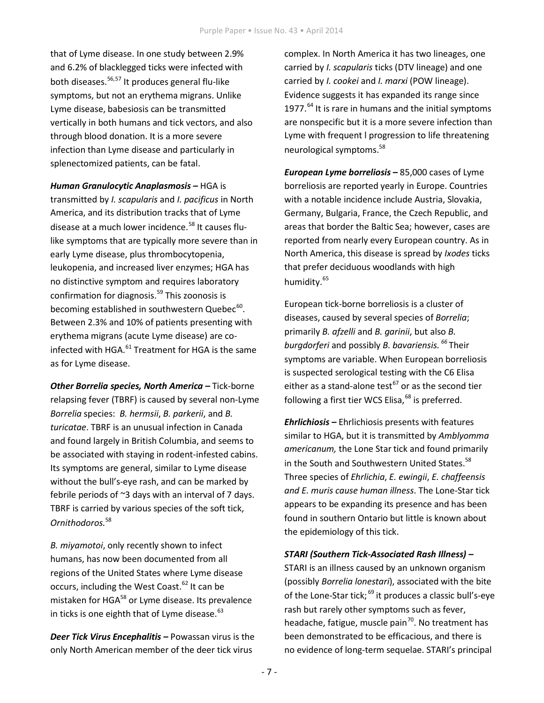that of Lyme disease. In one study between 2.9% and 6.2% of blacklegged ticks were infected with both diseases. 56,57 It produces general flu-like symptoms, but not an erythema migrans. Unlike Lyme disease, babesiosis can be transmitted vertically in both humans and tick vectors, and also through blood donation. It is a more severe infection than Lyme disease and particularly in splenectomized patients, can be fatal.

*Human Granulocytic Anaplasmosis –* HGA is transmitted by *I. scapularis* and *I. pacificus* in North America, and its distribution tracks that of Lyme disease at a much lower incidence. <sup>58</sup> It causes flulike symptoms that are typically more severe than in early Lyme disease, plus thrombocytopenia, leukopenia, and increased liver enzymes; HGA has no distinctive symptom and requires laboratory confirmation for diagnosis. <sup>59</sup> This zoonosis is becoming established in southwestern Quebec<sup>60</sup>. Between 2.3% and 10% of patients presenting with erythema migrans (acute Lyme disease) are coinfected with HGA.<sup>61</sup> Treatment for HGA is the same as for Lyme disease.

*Other Borrelia species, North America –* Tick-borne relapsing fever (TBRF) is caused by several non-Lyme *Borrelia* species: *B. hermsii*, *B. parkerii*, and *B. turicatae*. TBRF is an unusual infection in Canada and found largely in British Columbia, and seems to be associated with staying in rodent-infested cabins. Its symptoms are general, similar to Lyme disease without the bull's-eye rash, and can be marked by febrile periods of ~3 days with an interval of 7 days. TBRF is carried by various species of the soft tick, *Ornithodoros.*<sup>58</sup>

*B. miyamotoi*, only recently shown to infect humans, has now been documented from all regions of the United States where Lyme disease occurs, including the West Coast.<sup>62</sup> It can be mistaken for HGA<sup>58</sup> or Lyme disease. Its prevalence in ticks is one eighth that of Lyme disease.<sup>63</sup>

*Deer Tick Virus Encephalitis –* Powassan virus is the only North American member of the deer tick virus

complex. In North America it has two lineages, one carried by *I. scapularis* ticks (DTV lineage) and one carried by *I. cookei* and *I. marxi* (POW lineage). Evidence suggests it has expanded its range since 1977.<sup>64</sup> It is rare in humans and the initial symptoms are nonspecific but it is a more severe infection than Lyme with frequent l progression to life threatening neurological symptoms.<sup>58</sup>

*European Lyme borreliosis –* 85,000 cases of Lyme borreliosis are reported yearly in Europe. Countries with a notable incidence include Austria, Slovakia, Germany, Bulgaria, France, the Czech Republic, and areas that border the Baltic Sea; however, cases are reported from nearly every European country. As in North America, this disease is spread by *Ixodes* ticks that prefer deciduous woodlands with high humidity. 65

European tick-borne borreliosis is a cluster of diseases, caused by several species of *Borrelia*; primarily *B. afzelli* and *B. garinii*, but also *B. 66* <sup>61</sup> Treatment for HGA is the same *burgdorferi* and possibly *B. bavariensis.* Their symptoms are variable. When European borreliosis is suspected serological testing with the C6 Elisa either as a stand-alone test<sup>67</sup> or as the second tier following a first tier WCS Elisa, <sup>68</sup> is preferred.

> *Ehrlichiosis –* Ehrlichiosis presents with features similar to HGA, but it is transmitted by *Amblyomma americanum,* the Lone Star tick and found primarily in the South and Southwestern United States.<sup>58</sup> Three species of *Ehrlichia*, *E. ewingii*, *E. chaffeensis and E. muris cause human illness*. The Lone-Star tick appears to be expanding its presence and has been found in southern Ontario but little is known about the epidemiology of this tick.

### *STARI (Southern Tick-Associated Rash Illness) –*

STARI is an illness caused by an unknown organism (possibly *Borrelia lonestari*), associated with the bite of the Lone-Star tick; <sup>69</sup> it produces a classic bull's-eye rash but rarely other symptoms such as fever, headache, fatigue, muscle pain<sup>70</sup>. No treatment has been demonstrated to be efficacious, and there is no evidence of long-term sequelae. STARI's principal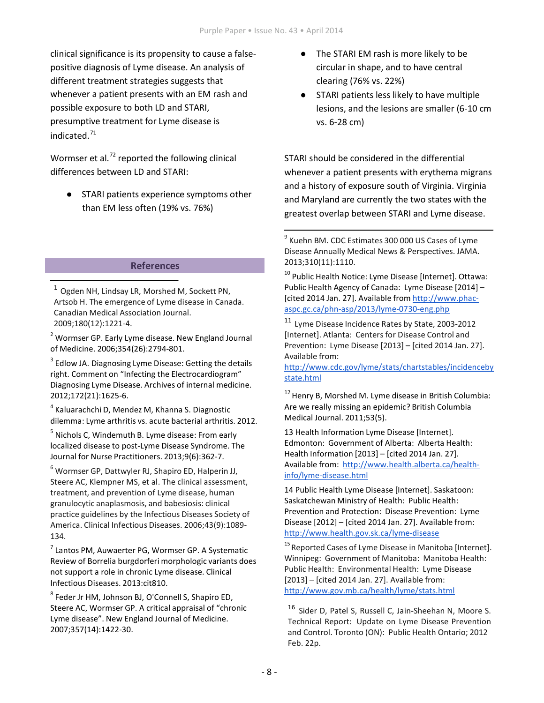clinical significance is its propensity to cause a falsepositive diagnosis of Lyme disease. An analysis of different treatment strategies suggests that whenever a patient presents with an EM rash and possible exposure to both LD and STARI, presumptive treatment for Lyme disease is indicated. 71

Wormser et al.<sup>72</sup> reported the following clinical differences between LD and STARI:

● STARI patients experience symptoms other than EM less often (19% vs. 76%)

### **References**

 $1$  Ogden NH, Lindsay LR, Morshed M, Sockett PN, Artsob H. The emergence of Lyme disease in Canada. Canadian Medical Association Journal. 2009;180(12):1221-4.

<sup>2</sup> Wormser GP. Early Lyme disease. New England Journal of Medicine. 2006;354(26):2794-801.

 $3$  Edlow JA. Diagnosing Lyme Disease: Getting the details right. Comment on "Infecting the Electrocardiogram" Diagnosing Lyme Disease. Archives of internal medicine. 2012;172(21):1625-6.

<sup>4</sup> Kaluarachchi D, Mendez M, Khanna S. Diagnostic dilemma: Lyme arthritis vs. acute bacterial arthritis. 2012.

 $<sup>5</sup>$  Nichols C, Windemuth B. Lyme disease: From early</sup> localized disease to post-Lyme Disease Syndrome. The Journal for Nurse Practitioners. 2013;9(6):362-7.

<sup>6</sup> Wormser GP, Dattwyler RJ, Shapiro ED, Halperin JJ, Steere AC, Klempner MS, et al. The clinical assessment, treatment, and prevention of Lyme disease, human granulocytic anaplasmosis, and babesiosis: clinical practice guidelines by the Infectious Diseases Society of America. Clinical Infectious Diseases. 2006;43(9):1089- 134.

<sup>7</sup> Lantos PM, Auwaerter PG, Wormser GP. A Systematic Review of Borrelia burgdorferi morphologic variants does not support a role in chronic Lyme disease. Clinical Infectious Diseases. 2013:cit810.

<sup>8</sup> Feder Jr HM, Johnson BJ, O'Connell S, Shapiro ED, Steere AC, Wormser GP. A critical appraisal of "chronic Lyme disease". New England Journal of Medicine. 2007;357(14):1422-30.

- The STARI EM rash is more likely to be circular in shape, and to have central clearing (76% vs. 22%)
- STARI patients less likely to have multiple lesions, and the lesions are smaller (6-10 cm vs. 6-28 cm)

STARI should be considered in the differential whenever a patient presents with erythema migrans and a history of exposure south of Virginia. Virginia and Maryland are currently the two states with the greatest overlap between STARI and Lyme disease.

<sup>10</sup> Public Health Notice: Lyme Disease [Internet]. Ottawa: Public Health Agency of Canada: Lyme Disease [2014] – [cited 2014 Jan. 27]. Available from [http://www.phac](http://www.phac-aspc.gc.ca/phn-asp/2013/lyme-0730-eng.php)[aspc.gc.ca/phn-asp/2013/lyme-0730-eng.php](http://www.phac-aspc.gc.ca/phn-asp/2013/lyme-0730-eng.php)

<sup>11</sup> Lyme Disease Incidence Rates by State, 2003-2012 [Internet]. Atlanta: Centers for Disease Control and Prevention: Lyme Disease [2013] – [cited 2014 Jan. 27]. Available from:

[http://www.cdc.gov/lyme/stats/chartstables/incidenceby](http://www.cdc.gov/lyme/stats/chartstables/incidencebystate.html) [state.html](http://www.cdc.gov/lyme/stats/chartstables/incidencebystate.html)

<sup>12</sup> Henry B, Morshed M. Lyme disease in British Columbia: Are we really missing an epidemic? British Columbia Medical Journal. 2011;53(5).

13 Health Information Lyme Disease [Internet]. Edmonton: Government of Alberta: Alberta Health: Health Information [2013] – [cited 2014 Jan. 27]. Available from: [http://www.health.alberta.ca/health](http://www.health.alberta.ca/health-info/lyme-disease.html)[info/lyme-disease.html](http://www.health.alberta.ca/health-info/lyme-disease.html)

14 Public Health Lyme Disease [Internet]. Saskatoon: Saskatchewan Ministry of Health: Public Health: Prevention and Protection: Disease Prevention: Lyme Disease [2012] – [cited 2014 Jan. 27]. Available from: <http://www.health.gov.sk.ca/lyme-disease>

<sup>15</sup> Reported Cases of Lyme Disease in Manitoba [Internet]. Winnipeg: Government of Manitoba: Manitoba Health: Public Health: Environmental Health: Lyme Disease [2013] – [cited 2014 Jan. 27]. Available from: <http://www.gov.mb.ca/health/lyme/stats.html>

<sup>16</sup> Sider D, Patel S, Russell C, Jain-Sheehan N, Moore S. Technical Report: Update on Lyme Disease Prevention and Control. Toronto (ON): Public Health Ontario; 2012 Feb. 22p.

<sup>&</sup>lt;sup>9</sup> Kuehn BM. CDC Estimates 300 000 US Cases of Lyme Disease Annually Medical News & Perspectives. JAMA. 2013;310(11):1110.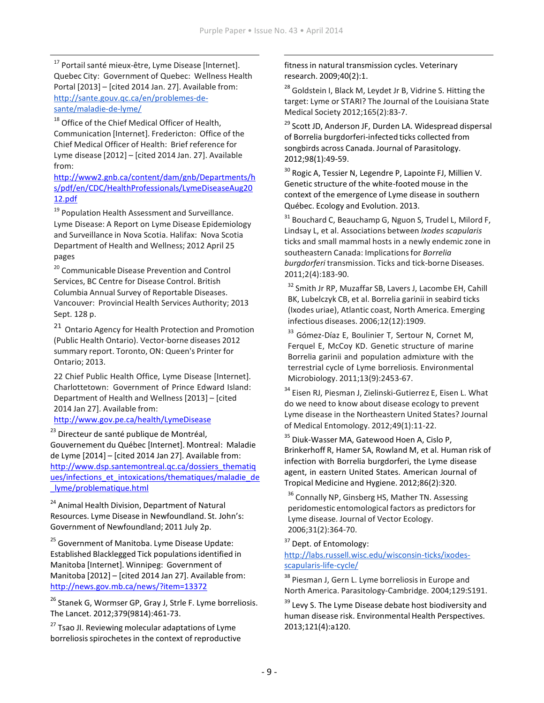<sup>17</sup> Portail santé mieux-être, Lyme Disease [Internet]. Quebec City: Government of Quebec: Wellness Health Portal [2013] – [cited 2014 Jan. 27]. Available from: [http://sante.gouv.qc.ca/en/problemes-de](http://sante.gouv.qc.ca/en/problemes-de-sante/maladie-de-lyme/)[sante/maladie-de-lyme/](http://sante.gouv.qc.ca/en/problemes-de-sante/maladie-de-lyme/)

<sup>18</sup> Office of the Chief Medical Officer of Health, Communication [Internet]. Fredericton: Office of the Chief Medical Officer of Health: Brief reference for Lyme disease [2012] – [cited 2014 Jan. 27]. Available from:

[http://www2.gnb.ca/content/dam/gnb/Departments/h](http://www2.gnb.ca/content/dam/gnb/Departments/hs/pdf/en/CDC/HealthProfessionals/LymeDiseaseAug2012.pdf) [s/pdf/en/CDC/HealthProfessionals/LymeDiseaseAug20](http://www2.gnb.ca/content/dam/gnb/Departments/hs/pdf/en/CDC/HealthProfessionals/LymeDiseaseAug2012.pdf) [12.pdf](http://www2.gnb.ca/content/dam/gnb/Departments/hs/pdf/en/CDC/HealthProfessionals/LymeDiseaseAug2012.pdf)

<sup>19</sup> Population Health Assessment and Surveillance. Lyme Disease: A Report on Lyme Disease Epidemiology and Surveillance in Nova Scotia. Halifax: Nova Scotia Department of Health and Wellness; 2012 April 25 pages

<sup>20</sup> Communicable Disease Prevention and Control Services, BC Centre for Disease Control. British Columbia Annual Survey of Reportable Diseases. Vancouver: Provincial Health Services Authority; 2013 Sept. 128 p.

<sup>21</sup> Ontario Agency for Health Protection and Promotion (Public Health Ontario). Vector-borne diseases 2012 summary report. Toronto, ON: Queen's Printer for Ontario; 2013.

22 Chief Public Health Office, Lyme Disease [Internet]. Charlottetown: Government of Prince Edward Island: Department of Health and Wellness [2013] – [cited 2014 Jan 27]. Available from:

### <http://www.gov.pe.ca/health/LymeDisease>

<sup>23</sup> Directeur de santé publique de Montréal, Gouvernement du Québec [Internet]. Montreal: Maladie de Lyme [2014] – [cited 2014 Jan 27]. Available from: [http://www.dsp.santemontreal.qc.ca/dossiers\\_thematiq](http://www.dsp.santemontreal.qc.ca/dossiers_thematiques/infections_et_intoxications/thematiques/maladie_de_lyme/problematique.html) [ues/infections\\_et\\_intoxications/thematiques/maladie\\_de](http://www.dsp.santemontreal.qc.ca/dossiers_thematiques/infections_et_intoxications/thematiques/maladie_de_lyme/problematique.html) [\\_lyme/problematique.html](http://www.dsp.santemontreal.qc.ca/dossiers_thematiques/infections_et_intoxications/thematiques/maladie_de_lyme/problematique.html)

<sup>24</sup> Animal Health Division, Department of Natural Resources. Lyme Disease in Newfoundland. St. John's: Government of Newfoundland; 2011 July 2p.

<sup>25</sup> Government of Manitoba. Lyme Disease Update: Established Blacklegged Tick populationsidentified in Manitoba [Internet]. Winnipeg: Government of Manitoba [2012] – [cited 2014 Jan 27]. Available from: <http://news.gov.mb.ca/news/?item=13372>

<sup>26</sup> Stanek G, Wormser GP, Gray J, Strle F. Lyme borreliosis. The Lancet. 2012;379(9814):461-73.

<sup>27</sup> Tsao JI. Reviewing molecular adaptations of Lyme borreliosis spirochetes in the context of reproductive fitness in natural transmission cycles. Veterinary research. 2009;40(2):1.

<sup>28</sup> Goldstein I, Black M, Leydet Jr B, Vidrine S. Hitting the target: Lyme or STARI? The Journal of the Louisiana State Medical Society 2012;165(2):83-7.

<sup>29</sup> Scott JD, Anderson JF, Durden LA. Widespread dispersal of Borrelia burgdorferi-infected ticks collected from songbirds across Canada. Journal of Parasitology. 2012;98(1):49-59.

 $30$  Rogic A, Tessier N, Legendre P, Lapointe FJ, Millien V. Genetic structure of the white-footed mouse in the context of the emergence of Lyme disease in southern Québec. Ecology and Evolution. 2013.

 $31$  Bouchard C, Beauchamp G, Nguon S, Trudel L, Milord F, Lindsay L, et al. Associations between *Ixodes scapularis*  ticks and small mammal hosts in a newly endemic zone in southeastern Canada: Implicationsfor *Borrelia burgdorferi* transmission. Ticks and tick-borne Diseases. 2011;2(4):183-90.

<sup>32</sup> Smith Jr RP, Muzaffar SB, Lavers J, Lacombe EH, Cahill BK, Lubelczyk CB, et al. Borrelia garinii in seabird ticks (Ixodes uriae), Atlantic coast, North America. Emerging infectious diseases. 2006;12(12):1909.

<sup>33</sup> Gómez-Díaz E, Boulinier T, Sertour N, Cornet M, Ferquel E, McCoy KD. Genetic structure of marine Borrelia garinii and population admixture with the terrestrial cycle of Lyme borreliosis. Environmental Microbiology. 2011;13(9):2453-67.

<sup>34</sup> Eisen RJ, Piesman J, Zielinski-Gutierrez E, Eisen L. What do we need to know about disease ecology to prevent Lyme disease in the Northeastern United States? Journal of Medical Entomology. 2012;49(1):11-22.

<sup>35</sup> Diuk-Wasser MA, Gatewood Hoen A, Cislo P, Brinkerhoff R, Hamer SA, Rowland M, et al. Human risk of infection with Borrelia burgdorferi, the Lyme disease agent, in eastern United States. American Journal of Tropical Medicine and Hygiene. 2012;86(2):320.

<sup>36</sup> Connally NP, Ginsberg HS, Mather TN. Assessing peridomestic entomological factors as predictors for Lyme disease. Journal of Vector Ecology. 2006;31(2):364-70.

<sup>37</sup> Dept. of Entomology:

[http://labs.russell.wisc.edu/wisconsin-ticks/ixodes](http://labs.russell.wisc.edu/wisconsin-ticks/ixodes-scapularis-life-cycle/)[scapularis-life-cycle/](http://labs.russell.wisc.edu/wisconsin-ticks/ixodes-scapularis-life-cycle/)

<sup>38</sup> Piesman J, Gern L. Lyme borreliosis in Europe and North America. Parasitology-Cambridge. 2004;129:S191.

<sup>39</sup> Levy S. The Lyme Disease debate host biodiversity and human disease risk. Environmental Health Perspectives. 2013;121(4):a120.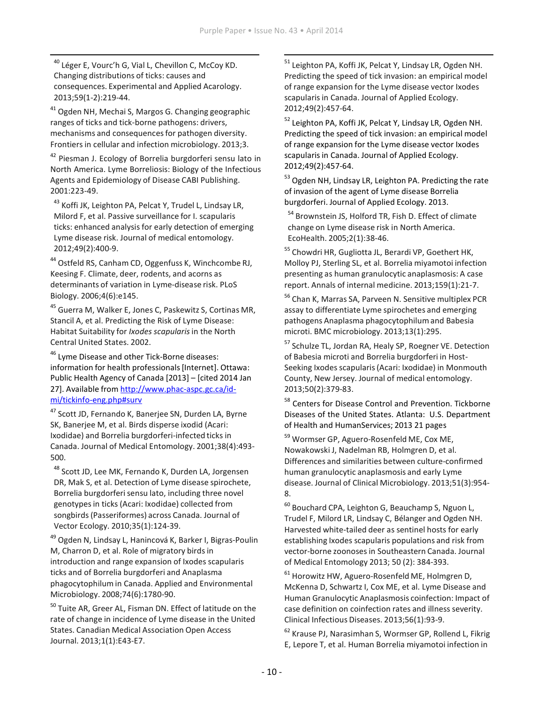<sup>40</sup> Léger E, Vourc'h G, Vial L, Chevillon C, McCoy KD. Changing distributions of ticks: causes and consequences. Experimental and Applied Acarology. 2013;59(1-2):219-44.

<sup>41</sup> Ogden NH, Mechai S, Margos G. Changing geographic ranges of ticks and tick-borne pathogens: drivers, mechanisms and consequencesfor pathogen diversity. Frontiersin cellular and infection microbiology. 2013;3.

<sup>42</sup> Piesman J. Ecology of Borrelia burgdorferi sensu lato in North America. Lyme Borreliosis: Biology of the Infectious Agents and Epidemiology of Disease CABI Publishing. 2001:223-49.

<sup>43</sup> Koffi JK, Leighton PA, Pelcat Y, Trudel L, Lindsay LR, Milord F, et al. Passive surveillance for I. scapularis ticks: enhanced analysisfor early detection of emerging Lyme disease risk. Journal of medical entomology. 2012;49(2):400-9.

<sup>44</sup> Ostfeld RS, Canham CD, Oggenfuss K, Winchcombe RJ, Keesing F. Climate, deer, rodents, and acorns as determinants of variation in Lyme-disease risk. PLoS Biology. 2006;4(6):e145.

<sup>45</sup> Guerra M, Walker E, Jones C, Paskewitz S, Cortinas MR, Stancil A, et al. Predicting the Risk of Lyme Disease: Habitat Suitability for *Ixodes scapularis*in the North Central United States. 2002.

<sup>46</sup> Lyme Disease and other Tick-Borne diseases: information for health professionals [Internet]. Ottawa: Public Health Agency of Canada [2013] – [cited 2014 Jan 27]. Available from [http://www.phac-aspc.gc.ca/id](http://www.phac-aspc.gc.ca/id-mi/tickinfo-eng.php#surv)[mi/tickinfo-eng.php#surv](http://www.phac-aspc.gc.ca/id-mi/tickinfo-eng.php#surv)

<sup>47</sup> Scott JD, Fernando K, Banerjee SN, Durden LA, Byrne SK, Banerjee M, et al. Birds disperse ixodid (Acari: Ixodidae) and Borrelia burgdorferi-infected ticks in Canada. Journal of Medical Entomology. 2001;38(4):493- 500.

<sup>48</sup> Scott JD, Lee MK, Fernando K, Durden LA, Jorgensen DR, Mak S, et al. Detection of Lyme disease spirochete, Borrelia burgdorferi sensu lato, including three novel genotypesin ticks (Acari: Ixodidae) collected from songbirds(Passeriformes) across Canada. Journal of Vector Ecology. 2010;35(1):124-39.

<sup>49</sup> Ogden N, Lindsay L, Hanincová K, Barker I, Bigras-Poulin M, Charron D, et al. Role of migratory birds in introduction and range expansion of Ixodes scapularis ticks and of Borrelia burgdorferi and Anaplasma phagocytophilum in Canada. Applied and Environmental Microbiology. 2008;74(6):1780-90.

<sup>50</sup> Tuite AR, Greer AL, Fisman DN. Effect of latitude on the rate of change in incidence of Lyme disease in the United States. Canadian Medical Association Open Access Journal. 2013;1(1):E43-E7.

<sup>51</sup> Leighton PA, Koffi JK, Pelcat Y, Lindsay LR, Ogden NH, Predicting the speed of tick invasion: an empirical model of range expansion for the Lyme disease vector Ixodes scapularis in Canada. Journal of Applied Ecology. 2012;49(2):457-64.

<sup>52</sup> Leighton PA, Koffi JK, Pelcat Y, Lindsay LR, Ogden NH. Predicting the speed of tick invasion: an empirical model of range expansion for the Lyme disease vector Ixodes scapularis in Canada. Journal of Applied Ecology. 2012;49(2):457-64.

<sup>53</sup> Ogden NH, Lindsay LR, Leighton PA. Predicting the rate of invasion of the agent of Lyme disease Borrelia burgdorferi. Journal of Applied Ecology. 2013.

<sup>54</sup> Brownstein JS, Holford TR, Fish D. Effect of climate change on Lyme disease risk in North America. EcoHealth. 2005;2(1):38-46.

<sup>55</sup> Chowdri HR, Gugliotta JL, Berardi VP, Goethert HK, Molloy PJ, Sterling SL, et al. Borrelia miyamotoi infection presenting as human granulocytic anaplasmosis: A case report. Annals of internal medicine. 2013;159(1):21-7.

<sup>56</sup> Chan K, Marras SA, Parveen N. Sensitive multiplex PCR assay to differentiate Lyme spirochetes and emerging pathogens Anaplasma phagocytophilumand Babesia microti. BMC microbiology. 2013;13(1):295.

57 Schulze TL, Jordan RA, Healy SP, Roegner VE. Detection of Babesia microti and Borrelia burgdorferi in Host-Seeking Ixodes scapularis(Acari: Ixodidae) in Monmouth County, New Jersey. Journal of medical entomology. 2013;50(2):379-83.

<sup>58</sup> Centers for Disease Control and Prevention. Tickborne Diseases of the United States. Atlanta: U.S. Department of Health and HumanServices; 2013 21 pages

<sup>59</sup> Wormser GP, Aguero-Rosenfeld ME, Cox ME, Nowakowski J, Nadelman RB, Holmgren D, et al. Differences and similarities between culture-confirmed human granulocytic anaplasmosis and early Lyme disease. Journal of Clinical Microbiology. 2013;51(3):954- 8.

<sup>60</sup> Bouchard CPA, Leighton G, Beauchamp S, Nguon L, Trudel F, Milord LR, Lindsay C, Bélanger and Ogden NH. Harvested white-tailed deer as sentinel hosts for early establishing Ixodes scapularis populations and risk from vector-borne zoonosesin Southeastern Canada. Journal of Medical Entomology 2013; 50 (2): 384-393.

<sup>61</sup> Horowitz HW, Aguero-Rosenfeld ME, Holmgren D, McKenna D, Schwartz I, Cox ME, et al. Lyme Disease and Human Granulocytic Anaplasmosis coinfection: Impact of case definition on coinfection rates and illness severity. Clinical Infectious Diseases. 2013;56(1):93-9.

<sup>62</sup> Krause PJ, Narasimhan S, Wormser GP, Rollend L, Fikrig E, Lepore T, et al. Human Borrelia miyamotoi infection in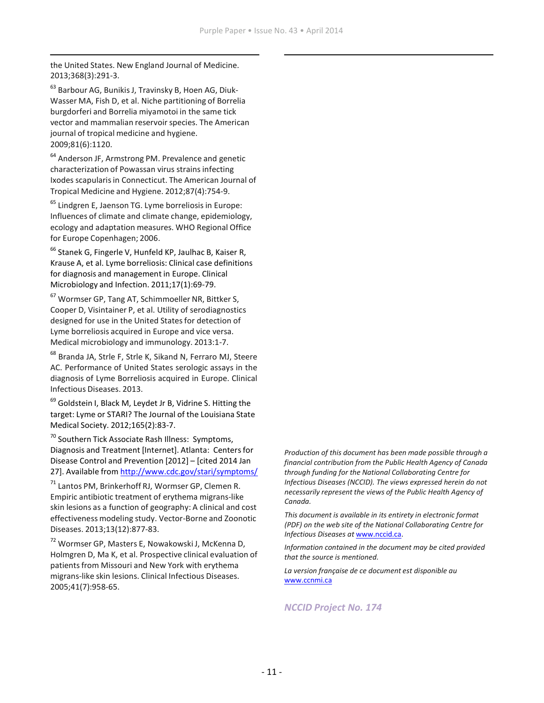the United States. New England Journal of Medicine. 2013;368(3):291-3.

<sup>63</sup> Barbour AG, Bunikis J, Travinsky B, Hoen AG, Diuk-Wasser MA, Fish D, et al. Niche partitioning of Borrelia burgdorferi and Borrelia miyamotoi in the same tick vector and mammalian reservoir species. The American journal of tropical medicine and hygiene. 2009;81(6):1120.

<sup>64</sup> Anderson JF, Armstrong PM. Prevalence and genetic characterization of Powassan virus strainsinfecting Ixodes scapularis in Connecticut. The American Journal of Tropical Medicine and Hygiene. 2012;87(4):754-9.

<sup>65</sup> Lindgren E, Jaenson TG. Lyme borreliosis in Europe: Influences of climate and climate change, epidemiology, ecology and adaptation measures. WHO Regional Office for Europe Copenhagen; 2006.

<sup>66</sup> Stanek G, Fingerle V, Hunfeld KP, Jaulhac B, Kaiser R, Krause A, et al. Lyme borreliosis: Clinical case definitions for diagnosis and management in Europe. Clinical Microbiology and Infection. 2011;17(1):69-79.

<sup>67</sup> Wormser GP, Tang AT, Schimmoeller NR, Bittker S, Cooper D, Visintainer P, et al. Utility of serodiagnostics designed for use in the United States for detection of Lyme borreliosis acquired in Europe and vice versa. Medical microbiology and immunology. 2013:1-7.

<sup>68</sup> Branda JA, Strle F, Strle K, Sikand N, Ferraro MJ, Steere AC. Performance of United States serologic assays in the diagnosis of Lyme Borreliosis acquired in Europe. Clinical Infectious Diseases. 2013.

<sup>69</sup> Goldstein I, Black M, Leydet Jr B, Vidrine S. Hitting the target: Lyme or STARI? The Journal of the Louisiana State Medical Society. 2012;165(2):83-7.

<sup>70</sup> Southern Tick Associate Rash Illness: Symptoms, Diagnosis and Treatment [Internet]. Atlanta: Centersfor Disease Control and Prevention [2012] – [cited 2014 Jan 27]. Available from <http://www.cdc.gov/stari/symptoms/>

<sup>71</sup> Lantos PM, Brinkerhoff RJ, Wormser GP, Clemen R. Empiric antibiotic treatment of erythema migrans-like skin lesions as a function of geography: A clinical and cost effectiveness modeling study. Vector-Borne and Zoonotic Diseases. 2013;13(12):877-83.

<sup>72</sup> Wormser GP, Masters E, Nowakowski J, McKenna D, Holmgren D, Ma K, et al. Prospective clinical evaluation of patients from Missouri and New York with erythema migrans-like skin lesions. Clinical Infectious Diseases. 2005;41(7):958-65.

*Production of this document has been made possible through a financial contribution from the Public Health Agency of Canada through funding for the National Collaborating Centre for Infectious Diseases (NCCID). The views expressed herein do not necessarily represent the views of the Public Health Agency of Canada.*

*This document is available in its entirety in electronic format (PDF) on the web site of the National Collaborating Centre for Infectious Diseases at* [www.nccid.ca.](http://www.nccid.ca/)

*Information contained in the document may be cited provided that the source is mentioned.*

*La version française de ce document est disponible au*  [www.ccnmi.ca](http://www.ccnmi.ca/)

*NCCID Project No. 174*